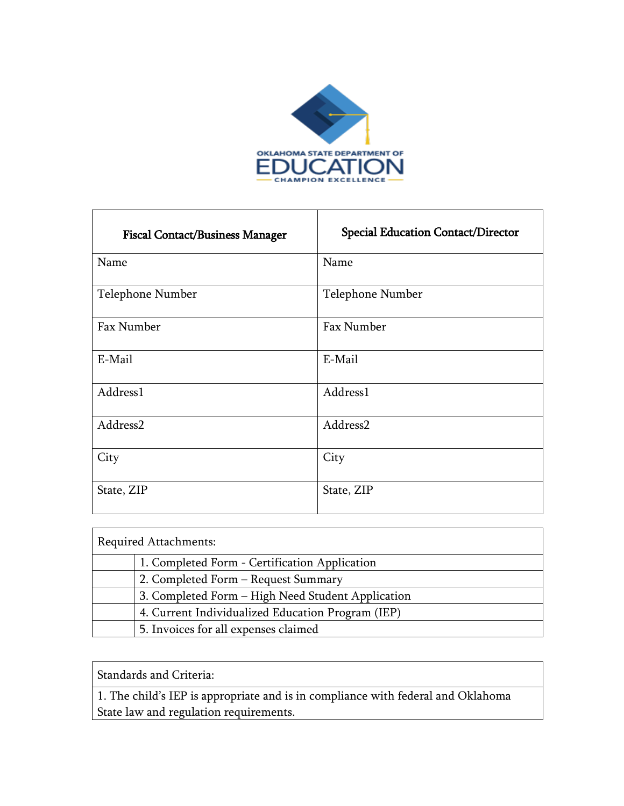

 $\overline{\phantom{0}}$ 

| <b>Fiscal Contact/Business Manager</b> | <b>Special Education Contact/Director</b> |
|----------------------------------------|-------------------------------------------|
| Name                                   | Name                                      |
| Telephone Number                       | Telephone Number                          |
| Fax Number                             | Fax Number                                |
| E-Mail                                 | E-Mail                                    |
| Address1                               | Address1                                  |
| Address2                               | Address2                                  |
| City                                   | City                                      |
| State, ZIP                             | State, ZIP                                |

| Required Attachments: |                                                   |
|-----------------------|---------------------------------------------------|
|                       | 1. Completed Form - Certification Application     |
|                       | 2. Completed Form – Request Summary               |
|                       | 3. Completed Form - High Need Student Application |
|                       | 4. Current Individualized Education Program (IEP) |
|                       | 5. Invoices for all expenses claimed              |

Standards and Criteria:

'n

1. The child's IEP is appropriate and is in compliance with federal and Oklahoma State law and regulation requirements.